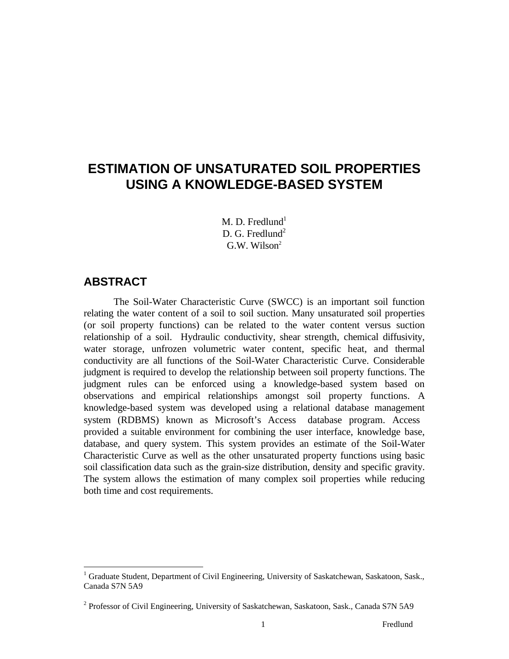# **ESTIMATION OF UNSATURATED SOIL PROPERTIES USING A KNOWLEDGE-BASED SYSTEM**

M. D. Fredlund $<sup>1</sup>$ </sup> D. G. Fredlund<sup>2</sup>  $G.W.$  Wilson<sup>2</sup>

# **ABSTRACT**

 $\overline{a}$ 

The Soil-Water Characteristic Curve (SWCC) is an important soil function relating the water content of a soil to soil suction. Many unsaturated soil properties (or soil property functions) can be related to the water content versus suction relationship of a soil. Hydraulic conductivity, shear strength, chemical diffusivity, water storage, unfrozen volumetric water content, specific heat, and thermal conductivity are all functions of the Soil-Water Characteristic Curve. Considerable judgment is required to develop the relationship between soil property functions. The judgment rules can be enforced using a knowledge-based system based on observations and empirical relationships amongst soil property functions. A knowledge-based system was developed using a relational database management system (RDBMS) known as Microsoft's Access<sup>®</sup> database program. Access<sup>®</sup> provided a suitable environment for combining the user interface, knowledge base, database, and query system. This system provides an estimate of the Soil-Water Characteristic Curve as well as the other unsaturated property functions using basic soil classification data such as the grain-size distribution, density and specific gravity. The system allows the estimation of many complex soil properties while reducing both time and cost requirements.

<sup>&</sup>lt;sup>1</sup> Graduate Student, Department of Civil Engineering, University of Saskatchewan, Saskatoon, Sask., Canada S7N 5A9

<sup>&</sup>lt;sup>2</sup> Professor of Civil Engineering, University of Saskatchewan, Saskatoon, Sask., Canada S7N 5A9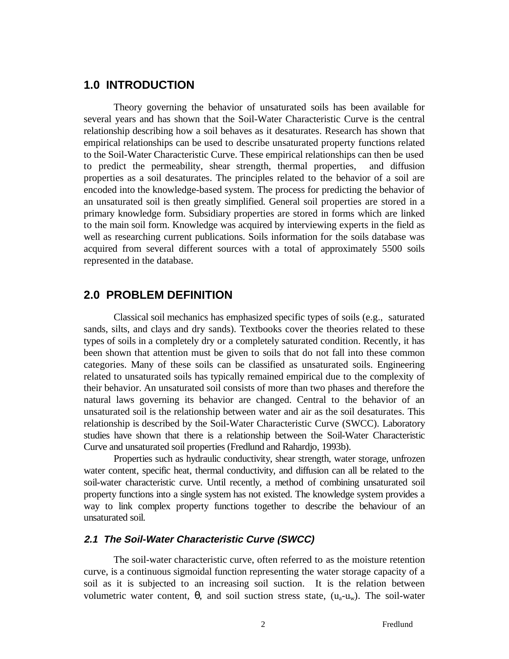# **1.0 INTRODUCTION**

Theory governing the behavior of unsaturated soils has been available for several years and has shown that the Soil-Water Characteristic Curve is the central relationship describing how a soil behaves as it desaturates. Research has shown that empirical relationships can be used to describe unsaturated property functions related to the Soil-Water Characteristic Curve. These empirical relationships can then be used to predict the permeability, shear strength, thermal properties, and diffusion properties as a soil desaturates. The principles related to the behavior of a soil are encoded into the knowledge-based system. The process for predicting the behavior of an unsaturated soil is then greatly simplified. General soil properties are stored in a primary knowledge form. Subsidiary properties are stored in forms which are linked to the main soil form. Knowledge was acquired by interviewing experts in the field as well as researching current publications. Soils information for the soils database was acquired from several different sources with a total of approximately 5500 soils represented in the database.

# **2.0 PROBLEM DEFINITION**

Classical soil mechanics has emphasized specific types of soils (e.g., saturated sands, silts, and clays and dry sands). Textbooks cover the theories related to these types of soils in a completely dry or a completely saturated condition. Recently, it has been shown that attention must be given to soils that do not fall into these common categories. Many of these soils can be classified as unsaturated soils. Engineering related to unsaturated soils has typically remained empirical due to the complexity of their behavior. An unsaturated soil consists of more than two phases and therefore the natural laws governing its behavior are changed. Central to the behavior of an unsaturated soil is the relationship between water and air as the soil desaturates. This relationship is described by the Soil-Water Characteristic Curve (SWCC). Laboratory studies have shown that there is a relationship between the Soil-Water Characteristic Curve and unsaturated soil properties (Fredlund and Rahardjo, 1993b).

Properties such as hydraulic conductivity, shear strength, water storage, unfrozen water content, specific heat, thermal conductivity, and diffusion can all be related to the soil-water characteristic curve. Until recently, a method of combining unsaturated soil property functions into a single system has not existed. The knowledge system provides a way to link complex property functions together to describe the behaviour of an unsaturated soil.

#### **2.1 The Soil-Water Characteristic Curve (SWCC)**

The soil-water characteristic curve, often referred to as the moisture retention curve, is a continuous sigmoidal function representing the water storage capacity of a soil as it is subjected to an increasing soil suction. It is the relation between volumetric water content, θ, and soil suction stress state,  $(u_a-u_w)$ . The soil-water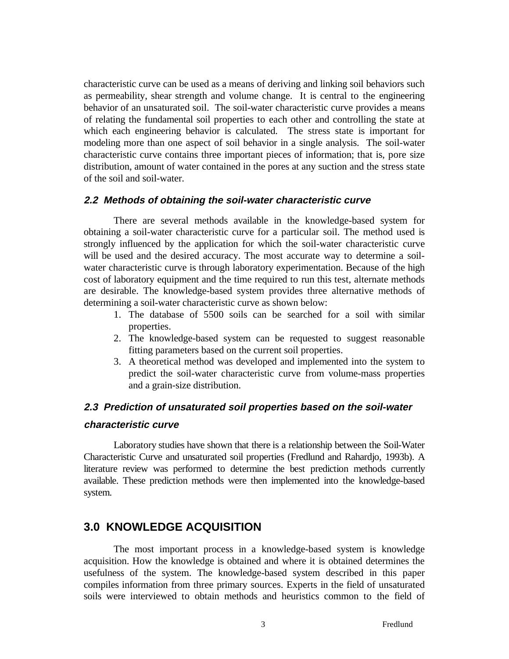characteristic curve can be used as a means of deriving and linking soil behaviors such as permeability, shear strength and volume change. It is central to the engineering behavior of an unsaturated soil. The soil-water characteristic curve provides a means of relating the fundamental soil properties to each other and controlling the state at which each engineering behavior is calculated. The stress state is important for modeling more than one aspect of soil behavior in a single analysis. The soil-water characteristic curve contains three important pieces of information; that is, pore size distribution, amount of water contained in the pores at any suction and the stress state of the soil and soil-water.

#### **2.2 Methods of obtaining the soil-water characteristic curve**

There are several methods available in the knowledge-based system for obtaining a soil-water characteristic curve for a particular soil. The method used is strongly influenced by the application for which the soil-water characteristic curve will be used and the desired accuracy. The most accurate way to determine a soilwater characteristic curve is through laboratory experimentation. Because of the high cost of laboratory equipment and the time required to run this test, alternate methods are desirable. The knowledge-based system provides three alternative methods of determining a soil-water characteristic curve as shown below:

- 1. The database of 5500 soils can be searched for a soil with similar properties.
- 2. The knowledge-based system can be requested to suggest reasonable fitting parameters based on the current soil properties.
- 3. A theoretical method was developed and implemented into the system to predict the soil-water characteristic curve from volume-mass properties and a grain-size distribution.

# **2.3 Prediction of unsaturated soil properties based on the soil-water characteristic curve**

Laboratory studies have shown that there is a relationship between the Soil-Water Characteristic Curve and unsaturated soil properties (Fredlund and Rahardjo, 1993b). A literature review was performed to determine the best prediction methods currently available. These prediction methods were then implemented into the knowledge-based system.

# **3.0 KNOWLEDGE ACQUISITION**

The most important process in a knowledge-based system is knowledge acquisition. How the knowledge is obtained and where it is obtained determines the usefulness of the system. The knowledge-based system described in this paper compiles information from three primary sources. Experts in the field of unsaturated soils were interviewed to obtain methods and heuristics common to the field of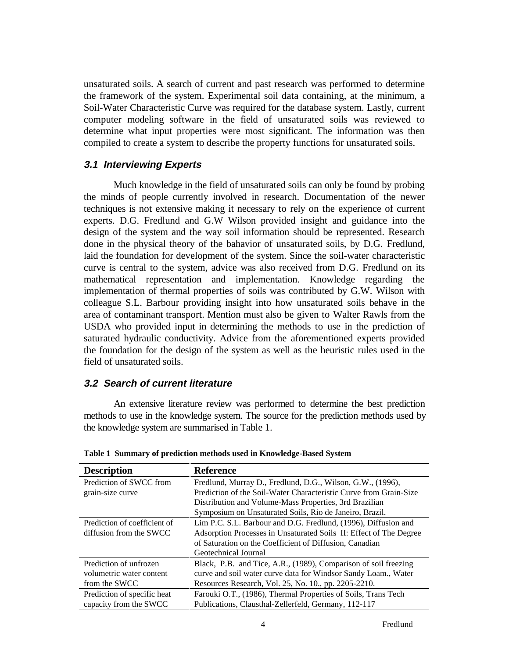unsaturated soils. A search of current and past research was performed to determine the framework of the system. Experimental soil data containing, at the minimum, a Soil-Water Characteristic Curve was required for the database system. Lastly, current computer modeling software in the field of unsaturated soils was reviewed to determine what input properties were most significant. The information was then compiled to create a system to describe the property functions for unsaturated soils.

#### **3.1 Interviewing Experts**

Much knowledge in the field of unsaturated soils can only be found by probing the minds of people currently involved in research. Documentation of the newer techniques is not extensive making it necessary to rely on the experience of current experts. D.G. Fredlund and G.W Wilson provided insight and guidance into the design of the system and the way soil information should be represented. Research done in the physical theory of the bahavior of unsaturated soils, by D.G. Fredlund, laid the foundation for development of the system. Since the soil-water characteristic curve is central to the system, advice was also received from D.G. Fredlund on its mathematical representation and implementation. Knowledge regarding the implementation of thermal properties of soils was contributed by G.W. Wilson with colleague S.L. Barbour providing insight into how unsaturated soils behave in the area of contaminant transport. Mention must also be given to Walter Rawls from the USDA who provided input in determining the methods to use in the prediction of saturated hydraulic conductivity. Advice from the aforementioned experts provided the foundation for the design of the system as well as the heuristic rules used in the field of unsaturated soils.

#### **3.2 Search of current literature**

An extensive literature review was performed to determine the best prediction methods to use in the knowledge system. The source for the prediction methods used by the knowledge system are summarised in Table 1.

| <b>Description</b>           | <b>Reference</b>                                                   |  |
|------------------------------|--------------------------------------------------------------------|--|
| Prediction of SWCC from      | Fredlund, Murray D., Fredlund, D.G., Wilson, G.W., (1996),         |  |
| grain-size curve             | Prediction of the Soil-Water Characteristic Curve from Grain-Size  |  |
|                              | Distribution and Volume-Mass Properties, 3rd Brazilian             |  |
|                              | Symposium on Unsaturated Soils, Rio de Janeiro, Brazil.            |  |
| Prediction of coefficient of | Lim P.C. S.L. Barbour and D.G. Fredlund, (1996), Diffusion and     |  |
| diffusion from the SWCC      | Adsorption Processes in Unsaturated Soils II: Effect of The Degree |  |
|                              | of Saturation on the Coefficient of Diffusion, Canadian            |  |
|                              | Geotechnical Journal                                               |  |
| Prediction of unfrozen       | Black, P.B. and Tice, A.R., (1989), Comparison of soil freezing    |  |
| volumetric water content     | curve and soil water curve data for Windsor Sandy Loam., Water     |  |
| from the SWCC                | Resources Research, Vol. 25, No. 10., pp. 2205-2210.               |  |
| Prediction of specific heat  | Farouki O.T., (1986), Thermal Properties of Soils, Trans Tech      |  |
| capacity from the SWCC       | Publications, Clausthal-Zellerfeld, Germany, 112-117               |  |

**Table 1 Summary of prediction methods used in Knowledge-Based System**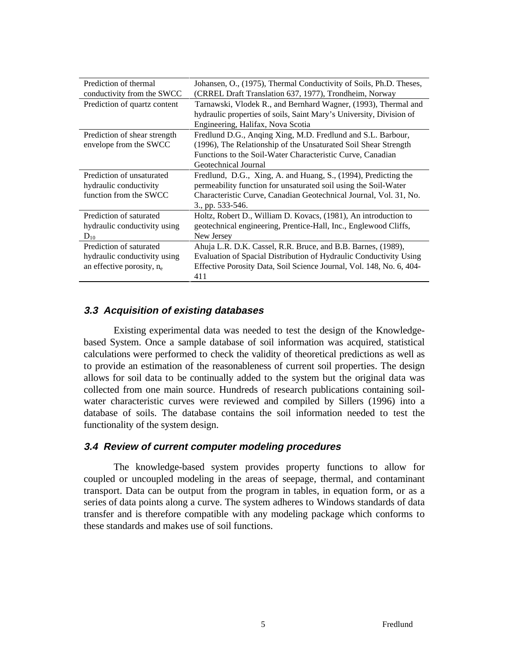| Prediction of thermal<br>conductivity from the SWCC                                     | Johansen, O., (1975), Thermal Conductivity of Soils, Ph.D. Theses,<br>(CRREL Draft Translation 637, 1977), Trondheim, Norway                                                                                                                              |
|-----------------------------------------------------------------------------------------|-----------------------------------------------------------------------------------------------------------------------------------------------------------------------------------------------------------------------------------------------------------|
| Prediction of quartz content                                                            | Tarnawski, Vlodek R., and Bernhard Wagner, (1993), Thermal and<br>hydraulic properties of soils, Saint Mary's University, Division of                                                                                                                     |
| Prediction of shear strength<br>envelope from the SWCC                                  | Engineering, Halifax, Nova Scotia<br>Fredlund D.G., Anqing Xing, M.D. Fredlund and S.L. Barbour,<br>(1996), The Relationship of the Unsaturated Soil Shear Strength<br>Functions to the Soil-Water Characteristic Curve, Canadian<br>Geotechnical Journal |
| Prediction of unsaturated<br>hydraulic conductivity<br>function from the SWCC           | Fredlund, D.G., Xing, A. and Huang, S., (1994), Predicting the<br>permeability function for unsaturated soil using the Soil-Water<br>Characteristic Curve, Canadian Geotechnical Journal, Vol. 31, No.<br>3., pp. 533-546.                                |
| Prediction of saturated<br>hydraulic conductivity using<br>$D_{10}$                     | Holtz, Robert D., William D. Kovacs, (1981), An introduction to<br>geotechnical engineering, Prentice-Hall, Inc., Englewood Cliffs,<br>New Jersey                                                                                                         |
| Prediction of saturated<br>hydraulic conductivity using<br>an effective porosity, $n_e$ | Ahuja L.R. D.K. Cassel, R.R. Bruce, and B.B. Barnes, (1989),<br>Evaluation of Spacial Distribution of Hydraulic Conductivity Using<br>Effective Porosity Data, Soil Science Journal, Vol. 148, No. 6, 404-<br>411                                         |

#### **3.3 Acquisition of existing databases**

Existing experimental data was needed to test the design of the Knowledgebased System. Once a sample database of soil information was acquired, statistical calculations were performed to check the validity of theoretical predictions as well as to provide an estimation of the reasonableness of current soil properties. The design allows for soil data to be continually added to the system but the original data was collected from one main source. Hundreds of research publications containing soilwater characteristic curves were reviewed and compiled by Sillers (1996) into a database of soils. The database contains the soil information needed to test the functionality of the system design.

#### **3.4 Review of current computer modeling procedures**

The knowledge-based system provides property functions to allow for coupled or uncoupled modeling in the areas of seepage, thermal, and contaminant transport. Data can be output from the program in tables, in equation form, or as a series of data points along a curve. The system adheres to Windows standards of data transfer and is therefore compatible with any modeling package which conforms to these standards and makes use of soil functions.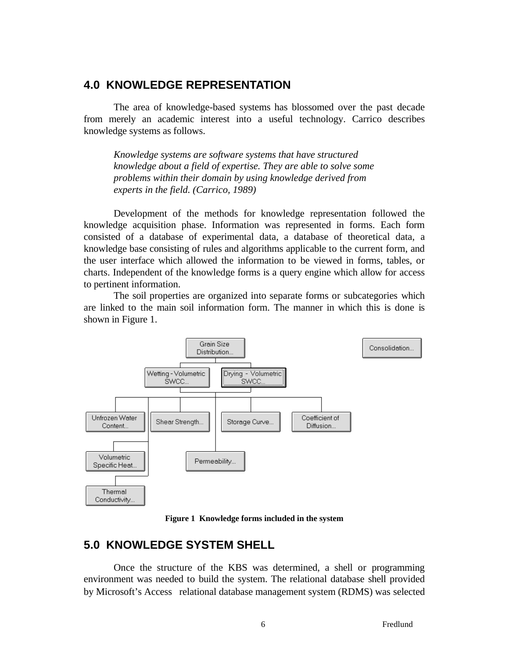# **4.0 KNOWLEDGE REPRESENTATION**

The area of knowledge-based systems has blossomed over the past decade from merely an academic interest into a useful technology. Carrico describes knowledge systems as follows.

*Knowledge systems are software systems that have structured knowledge about a field of expertise. They are able to solve some problems within their domain by using knowledge derived from experts in the field. (Carrico, 1989)*

Development of the methods for knowledge representation followed the knowledge acquisition phase. Information was represented in forms. Each form consisted of a database of experimental data, a database of theoretical data, a knowledge base consisting of rules and algorithms applicable to the current form, and the user interface which allowed the information to be viewed in forms, tables, or charts. Independent of the knowledge forms is a query engine which allow for access to pertinent information.

The soil properties are organized into separate forms or subcategories which are linked to the main soil information form. The manner in which this is done is shown in Figure 1.



**Figure 1 Knowledge forms included in the system**

# **5.0 KNOWLEDGE SYSTEM SHELL**

Once the structure of the KBS was determined, a shell or programming environment was needed to build the system. The relational database shell provided by Microsoft's Access<sup>®</sup> relational database management system (RDMS) was selected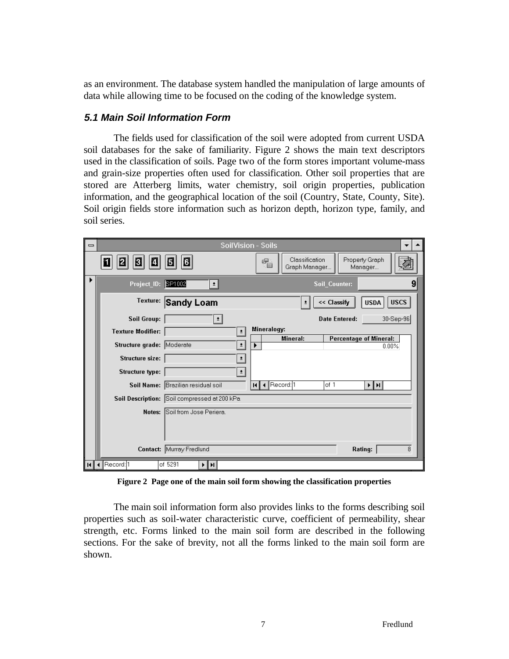as an environment. The database system handled the manipulation of large amounts of data while allowing time to be focused on the coding of the knowledge system.

## **5.1 Main Soil Information Form**

The fields used for classification of the soil were adopted from current USDA soil databases for the sake of familiarity. Figure 2 shows the main text descriptors used in the classification of soils. Page two of the form stores important volume-mass and grain-size properties often used for classification. Other soil properties that are stored are Atterberg limits, water chemistry, soil origin properties, publication information, and the geographical location of the soil (Country, State, County, Site). Soil origin fields store information such as horizon depth, horizon type, family, and soil series.

| $\equiv$ |                                                 | <b>SoilVision - Soils</b>                                              |  |  |  |
|----------|-------------------------------------------------|------------------------------------------------------------------------|--|--|--|
|          | ū<br>Е<br>8<br>M                                | Classification<br>Property Graph<br>醒<br>œ<br>Graph Manager<br>Manager |  |  |  |
| ▶        | Project_ID: SP1002<br>$\vert$                   | 9<br>Soil Counter:                                                     |  |  |  |
|          | Texture: Sandy Loam                             | <b>USCS</b><br><< Classify<br><b>USDA</b>                              |  |  |  |
|          | <b>Soil Group:</b><br>$\vert$ $\vert$           | 30-Sep-96<br><b>Date Entered:</b>                                      |  |  |  |
|          | <b>Texture Modifier:</b><br>$\vert \cdot \vert$ | Mineralogy:                                                            |  |  |  |
|          | Structure grade: Moderate<br>$\pmb{\pm}$        | Mineral:<br><b>Percentage of Mineral:</b><br>0.00%                     |  |  |  |
|          | Structure size:<br>$\pm$                        |                                                                        |  |  |  |
|          | <b>Structure type:</b><br>츼                     |                                                                        |  |  |  |
|          | Soil Name: Brazilian residual soil              | Record: 1<br>of 1<br>⊁‡⊁i<br>RH 4                                      |  |  |  |
|          | Soil Description: Soil compressed at 200 kPa    |                                                                        |  |  |  |
|          | Soil from Jose Periera<br>Notes:                |                                                                        |  |  |  |
|          | Contact: Murray Fredlund                        | Rating:<br>8                                                           |  |  |  |
|          | Record: 1<br>of 5291<br>⊁∥н∣                    |                                                                        |  |  |  |

**Figure 2 Page one of the main soil form showing the classification properties**

The main soil information form also provides links to the forms describing soil properties such as soil-water characteristic curve, coefficient of permeability, shear strength, etc. Forms linked to the main soil form are described in the following sections. For the sake of brevity, not all the forms linked to the main soil form are shown.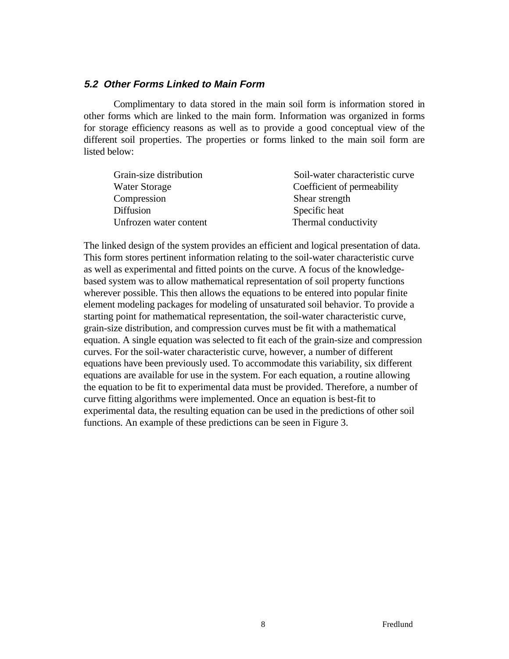### **5.2 Other Forms Linked to Main Form**

Complimentary to data stored in the main soil form is information stored in other forms which are linked to the main form. Information was organized in forms for storage efficiency reasons as well as to provide a good conceptual view of the different soil properties. The properties or forms linked to the main soil form are listed below:

| Grain-size distribution | Soil-water characteristic curve |
|-------------------------|---------------------------------|
| <b>Water Storage</b>    | Coefficient of permeability     |
| Compression             | Shear strength                  |
| Diffusion               | Specific heat                   |
| Unfrozen water content  | Thermal conductivity            |

The linked design of the system provides an efficient and logical presentation of data. This form stores pertinent information relating to the soil-water characteristic curve as well as experimental and fitted points on the curve. A focus of the knowledgebased system was to allow mathematical representation of soil property functions wherever possible. This then allows the equations to be entered into popular finite element modeling packages for modeling of unsaturated soil behavior. To provide a starting point for mathematical representation, the soil-water characteristic curve, grain-size distribution, and compression curves must be fit with a mathematical equation. A single equation was selected to fit each of the grain-size and compression curves. For the soil-water characteristic curve, however, a number of different equations have been previously used. To accommodate this variability, six different equations are available for use in the system. For each equation, a routine allowing the equation to be fit to experimental data must be provided. Therefore, a number of curve fitting algorithms were implemented. Once an equation is best-fit to experimental data, the resulting equation can be used in the predictions of other soil functions. An example of these predictions can be seen in Figure 3.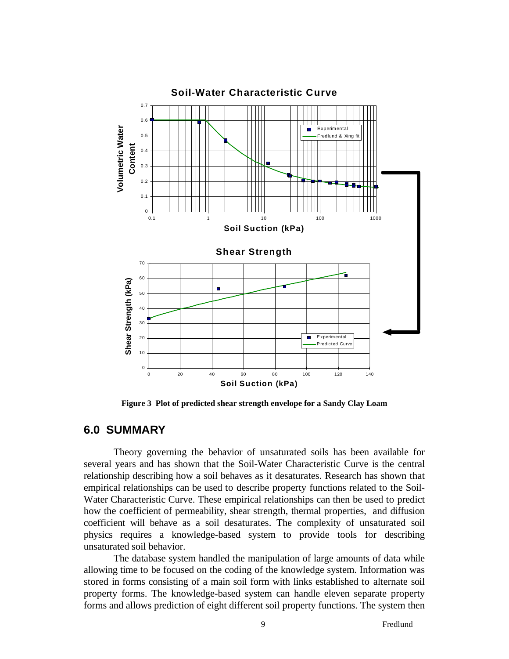

**Figure 3 Plot of predicted shear strength envelope for a Sandy Clay Loam**

# **6.0 SUMMARY**

Theory governing the behavior of unsaturated soils has been available for several years and has shown that the Soil-Water Characteristic Curve is the central relationship describing how a soil behaves as it desaturates. Research has shown that empirical relationships can be used to describe property functions related to the Soil-Water Characteristic Curve. These empirical relationships can then be used to predict how the coefficient of permeability, shear strength, thermal properties, and diffusion coefficient will behave as a soil desaturates. The complexity of unsaturated soil physics requires a knowledge-based system to provide tools for describing unsaturated soil behavior.

The database system handled the manipulation of large amounts of data while allowing time to be focused on the coding of the knowledge system. Information was stored in forms consisting of a main soil form with links established to alternate soil property forms. The knowledge-based system can handle eleven separate property forms and allows prediction of eight different soil property functions. The system then